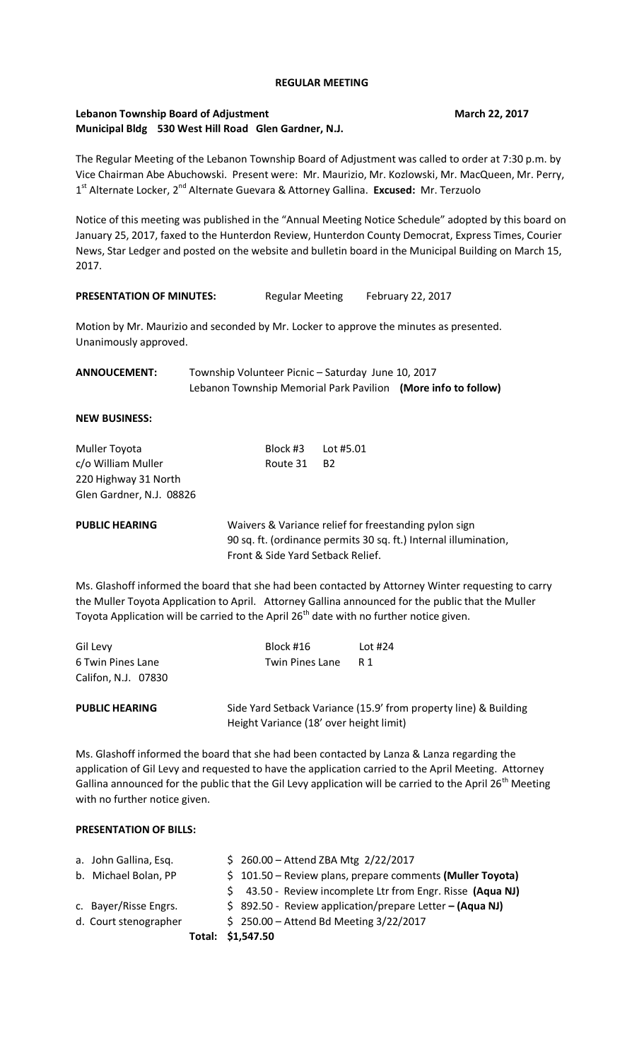### **REGULAR MEETING**

## **Lebanon Township Board of Adjustment March 22, 2017 Municipal Bldg 530 West Hill Road Glen Gardner, N.J.**

The Regular Meeting of the Lebanon Township Board of Adjustment was called to order at 7:30 p.m. by Vice Chairman Abe Abuchowski. Present were: Mr. Maurizio, Mr. Kozlowski, Mr. MacQueen, Mr. Perry, 1<sup>st</sup> Alternate Locker, 2<sup>nd</sup> Alternate Guevara & Attorney Gallina. **Excused:** Mr. Terzuolo

Notice of this meeting was published in the "Annual Meeting Notice Schedule" adopted by this board on January 25, 2017, faxed to the Hunterdon Review, Hunterdon County Democrat, Express Times, Courier News, Star Ledger and posted on the website and bulletin board in the Municipal Building on March 15, 2017.

## PRESENTATION OF MINUTES: Regular Meeting February 22, 2017

Motion by Mr. Maurizio and seconded by Mr. Locker to approve the minutes as presented. Unanimously approved.

**ANNOUCEMENT:** Township Volunteer Picnic – Saturday June 10, 2017 Lebanon Township Memorial Park Pavilion **(More info to follow)**

**NEW BUSINESS:** 

| Muller Toyota            | Block #3    Lot #5.01 |  |  |  |
|--------------------------|-----------------------|--|--|--|
| c/o William Muller       | Route 31 B2           |  |  |  |
| 220 Highway 31 North     |                       |  |  |  |
| Glen Gardner, N.J. 08826 |                       |  |  |  |
|                          |                       |  |  |  |

**PUBLIC HEARING** Waivers & Variance relief for freestanding pylon sign 90 sq. ft. (ordinance permits 30 sq. ft.) Internal illumination, Front & Side Yard Setback Relief.

Ms. Glashoff informed the board that she had been contacted by Attorney Winter requesting to carry the Muller Toyota Application to April. Attorney Gallina announced for the public that the Muller Toyota Application will be carried to the April  $26<sup>th</sup>$  date with no further notice given.

| <b>PUBLIC HEARING</b>                    |                        | Side Yard Setback Variance (15.9' from property line) & |  |
|------------------------------------------|------------------------|---------------------------------------------------------|--|
| 6 Twin Pines Lane<br>Califon, N.J. 07830 | <b>Twin Pines Lane</b> | - R 1                                                   |  |
| Gil Levy                                 | Block #16              | Lot $#24$                                               |  |

<mark>property line) & Building</mark><br> Height Variance (18' over height limit)

Ms. Glashoff informed the board that she had been contacted by Lanza & Lanza regarding the application of Gil Levy and requested to have the application carried to the April Meeting. Attorney Gallina announced for the public that the Gil Levy application will be carried to the April 26<sup>th</sup> Meeting with no further notice given.

#### **PRESENTATION OF BILLS:**

|                       | Total: \$1,547.50 |                                                            |
|-----------------------|-------------------|------------------------------------------------------------|
| d. Court stenographer |                   | $$250.00 -$ Attend Bd Meeting 3/22/2017                    |
| c. Bayer/Risse Engrs. |                   | $$892.50$ - Review application/prepare Letter - (Aqua NJ)  |
|                       | S.                | 43.50 - Review incomplete Ltr from Engr. Risse (Aqua NJ)   |
| b. Michael Bolan, PP  |                   | $$101.50 - Review plans, prepare comments (Muller Toyota)$ |
| a. John Gallina, Esq. |                   | $$260.00 -$ Attend ZBA Mtg $2/22/2017$                     |